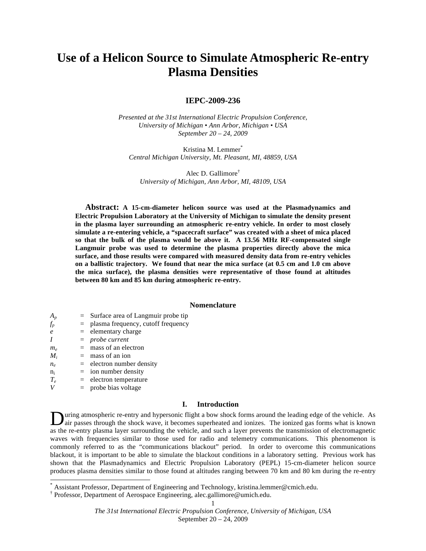# **Use of a Helicon Source to Simulate Atmospheric Re-entry Plasma Densities**

# **IEPC-2009-236**

*Presented at the 31st International Electric Propulsion Conference, University of Michigan • Ann Arbor, Michigan • USA September 20 – 24, 2009*

Kristina M. Lemmer\* *Central Michigan University, Mt. Pleasant, MI, 48859, USA*

Alec D. Gallimore† *University of Michigan, Ann Arbor, MI, 48109, USA*

**Abstract: A 15-cm-diameter helicon source was used at the Plasmadynamics and Electric Propulsion Laboratory at the University of Michigan to simulate the density present in the plasma layer surrounding an atmospheric re-entry vehicle. In order to most closely simulate a re-entering vehicle, a "spacecraft surface" was created with a sheet of mica placed so that the bulk of the plasma would be above it. A 13.56 MHz RF-compensated single Langmuir probe was used to determine the plasma properties directly above the mica surface, and those results were compared with measured density data from re-entry vehicles on a ballistic trajectory. We found that near the mica surface (at 0.5 cm and 1.0 cm above the mica surface), the plasma densities were representative of those found at altitudes between 80 km and 85 km during atmospheric re-entry.**

# **Nomenclature**

- *A<sub>n</sub>* = Surface area of Langmuir probe tip
- $f_p$  = plasma frequency, cutoff frequency
- *e* = elementary charge
- *I* = *probe current*
- $m_e$  = mass of an electron
- $M_i$  = mass of an ion
- $n_e$  = electron number density
- $n_i$  = ion number density
- $T_e$  = electron temperature
- *V* = probe bias voltage

# **I. Introduction**

uring atmospheric re-entry and hypersonic flight a bow shock forms around the leading edge of the vehicle. As air passes through the shock wave, it becomes superheated and ionizes. The ionized gas forms what is known as the re-entry plasma layer surrounding the vehicle, and such a layer prevents the transmission of electromagnetic waves with frequencies similar to those used for radio and telemetry communications. This phenomenon is commonly referred to as the "communications blackout" period. In order to overcome this communications blackout, it is important to be able to simulate the blackout conditions in a laboratory setting. Previous work has shown that the Plasmadynamics and Electric Propulsion Laboratory (PEPL) 15-cm-diameter helicon source produces plasma densities similar to those found at altitudes ranging between 70 km and 80 km during the re-entry D

Assistant Professor, Department of Engineering and Technology, kristina.lemmer@cmich.edu.

Professor, Department of Aerospace Engineering, alec.gallimore@umich.edu.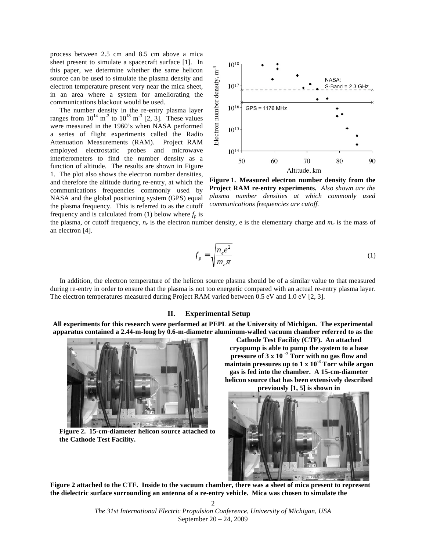process between 2.5 cm and 8.5 cm above a mica sheet present to simulate a spacecraft surface [1]. In this paper, we determine whether the same helicon source can be used to simulate the plasma density and electron temperature present very near the mica sheet, in an area where a system for ameliorating the communications blackout would be used.

The number density in the re-entry plasma layer ranges from  $10^{14}$  m<sup>-3</sup> to  $10^{18}$  m<sup>-3</sup> [2, 3]. These values were measured in the 1960's when NASA performed a series of flight experiments called the Radio Attenuation Measurements (RAM). Project RAM employed electrostatic probes and microwave interferometers to find the number density as a function of altitude. The results are shown in Figure 1. The plot also shows the electron number densities, and therefore the altitude during re-entry, at which the communications frequencies commonly used by NASA and the global positioning system (GPS) equal the plasma frequency. This is referred to as the cutoff frequency and is calculated from (1) below where  $f_p$  is



**Figure 1. Measured electron number density from the Project RAM re-entry experiments.** *Also shown are the plasma number densities at which commonly used communications frequencies are cutoff.*

the plasma, or cutoff frequency,  $n_e$  is the electron number density, e is the elementary charge and  $m_e$  is the mass of an electron [4].

$$
f_p = \sqrt{\frac{n_e e^2}{m_e \pi}}
$$
 (1)

The electron temperatures measured during Project RAM varied between 0.5 eV and 1.0 eV [2, 3]. In addition, the electron temperature of the helicon source plasma should be of a similar value to that measured during re-entry in order to ensure that the plasma is not too energetic compared with an actual re-entry plasma layer.

# **II. Experimental Setup**

**All experiments for this research were performed at PEPL at the University of Michigan. The experimental apparatus contained a 2.44-m-long by 0.6-m-diameter aluminum-walled vacuum chamber referred to as the** 



**Figure 2. 15-cm-diameter helicon source attached to the Cathode Test Facility.** 

**Cathode Test Facility (CTF). An attached cryopump is able to pump the system to a base pressure of 3 x 10 -7 Torr with no gas flow and maintain pressures up to 1 x 10-3 Torr while argon gas is fed into the chamber. A 15-cm-diameter helicon source that has been extensively described previously [1, 5] is shown in** 



**Figure 2 attached to the CTF. Inside to the vacuum chamber, there was a sheet of mica present to represent the dielectric surface surrounding an antenna of a re-entry vehicle. Mica was chosen to simulate the** 

*The 31st International Electric Propulsion Conference, University of Michigan, USA* September 20 – 24, 2009 2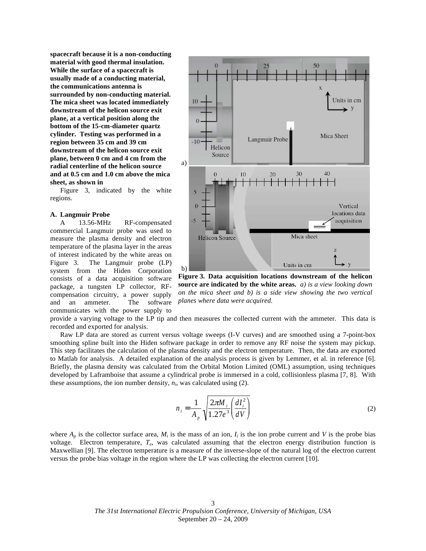**spacecraft because it is a non-conducting material with good thermal insulation. While the surface of a spacecraft is usually made of a conducting material, the communications antenna is surrounded by non-conducting material. The mica sheet was located immediately downstream of the helicon source exit plane, at a vertical position along the bottom of the 15-cm-diameter quartz cylinder. Testing was performed in a region between 35 cm and 39 cm downstream of the helicon source exit plane, between 0 cm and 4 cm from the radial centerline of the helicon source and at 0.5 cm and 1.0 cm above the mica sheet, as shown in** 

Figure 3, indicated by the white regions.

## **A. Langmuir Probe**

A 13.56-MHz RF-compensated commercial Langmuir probe was used to measure the plasma density and electron temperature of the plasma layer in the areas of interest indicated by the white areas on Figure 3. The Langmuir probe (LP) system from the Hiden Corporation consists of a data acquisition software package, a tungsten LP collector, RFcompensation circuitry, a power supply and an ammeter. The software communicates with the power supply to



**Figure 3. Data acquisition locations downstream of the helicon source are indicated by the white areas.** *a) is a view looking down on the mica sheet and b) is a side view showing the two vertical planes where data were acquired.*

provide a varying voltage to the LP tip and then measures the collected current with the ammeter. This data is recorded and exported for analysis.

Raw LP data are stored as current versus voltage sweeps (I-V curves) and are smoothed using a 7-point-box smoothing spline built into the Hiden software package in order to remove any RF noise the system may pickup. This step facilitates the calculation of the plasma density and the electron temperature. Then, the data are exported to Matlab for analysis. A detailed explanation of the analysis process is given by Lemmer, et al. in reference [6]. Briefly, the plasma density was calculated from the Orbital Motion Limited (OML) assumption, using techniques developed by Laframboise that assume a cylindrical probe is immersed in a cold, collisionless plasma [7, 8]. With these assumptions, the ion number density,  $n_i$ , was calculated using  $(2)$ .

$$
n_i = \frac{1}{A_p} \sqrt{\frac{2\pi M_i}{1.27e^3} \left(\frac{dI_i^2}{dV}\right)}
$$
(2)

Maxwellian [9]. The electron temperature is a measure of the inverse-slope of the natural log of the electron current<br>we want the probability well as in the projection when the LP was added to the electron www.t [10] where  $A_p$  is the collector surface area,  $M_i$  is the mass of an ion,  $I_i$  is the ion probe current and *V* is the probe bias voltage. Electron temperature, *Te*, was calculated assuming that the electron energy distribution function is versus the probe bias voltage in the region where the LP was collecting the electron current [10].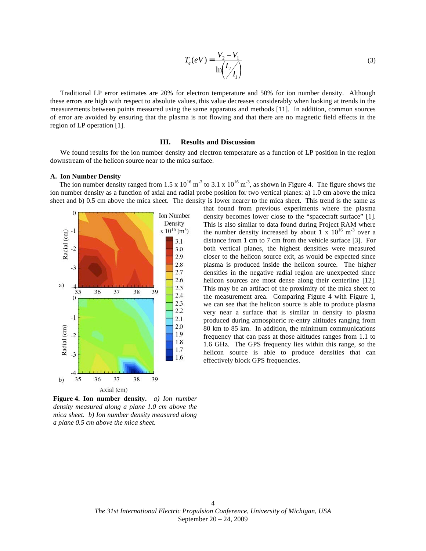$$
T_e(eV) = \frac{V_2 - V_1}{\ln(\frac{I_2}{I_1})}
$$
\n(3)

measurements between points measured using the same apparatus and methods [11]. In addition, common sources Traditional LP error estimates are 20% for electron temperature and 50% for ion number density. Although these errors are high with respect to absolute values, this value decreases considerably when looking at trends in the of error are avoided by ensuring that the plasma is not flowing and that there are no magnetic field effects in the region of LP operation [1].

# **III. Results and Discussion**

We found results for the ion number density and electron temperature as a function of LP position in the region downstream of the helicon source near to the mica surface.

#### **A. Ion Number Density**

The ion number density ranged from 1.5 x  $10^{16}$  m<sup>-3</sup> to 3.1 x  $10^{16}$  m<sup>-3</sup>, as shown in Figure 4. The figure shows the ion number density as a function of axial and radial probe position for two vertical planes: a) 1.0 cm above the mica sheet and b) 0.5 cm above the mica sheet. The density is lower nearer to the mica sheet. This trend is the same as



**Figure 4. Ion number density.** *a) Ion number density measured along a plane 1.0 cm above the mica sheet. b) Ion number density measured along a plane 0.5 cm above the mica sheet.*

that found from previous experiments where the plasma density becomes lower close to the "spacecraft surface" [1]. This is also similar to data found during Project RAM where the number density increased by about 1 x  $10^{16}$  m<sup>-3</sup> over a distance from 1 cm to 7 cm from the vehicle surface [3]. For both vertical planes, the highest densities were measured closer to the helicon source exit, as would be expected since plasma is produced inside the helicon source. The higher densities in the negative radial region are unexpected since helicon sources are most dense along their centerline [12]. This may be an artifact of the proximity of the mica sheet to the measurement area. Comparing Figure 4 with Figure 1, we can see that the helicon source is able to produce plasma very near a surface that is similar in density to plasma produced during atmospheric re-entry altitudes ranging from 80 km to 85 km. In addition, the minimum communications frequency that can pass at those altitudes ranges from 1.1 to 1.6 GHz. The GPS frequency lies within this range, so the helicon source is able to produce densities that can effectively block GPS frequencies.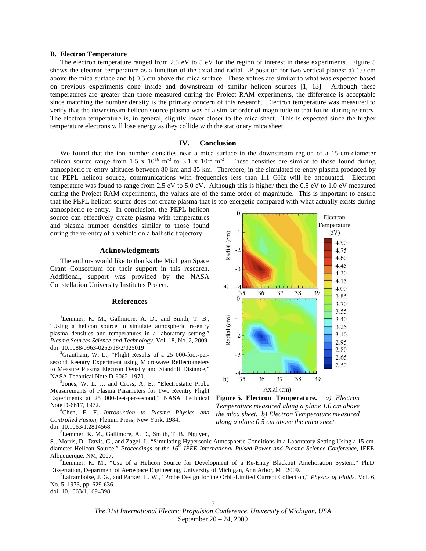#### **B. Electron Temperature**

The electron temperature ranged from 2.5 eV to 5 eV for the region of interest in these experiments. Figure 5 shows the electron temperature as a function of the axial and radial LP position for two vertical planes: a) 1.0 cm above the mica surface and b) 0.5 cm above the mica surface. These values are similar to what was expected based on previous experiments done inside and downstream of similar helicon sources [1, 13]. Although these temperatures are greater than those measured during the Project RAM experiments, the difference is acceptable since matching the number density is the primary concern of this research. Electron temperature was measured to verify that the downstream helicon source plasma was of a similar order of magnitude to that found during re-entry. The electron temperature is, in general, slightly lower closer to the mica sheet. This is expected since the higher temperature electrons will lose energy as they collide with the stationary mica sheet.

#### **IV. Conclusion**

We found that the ion number densities near a mica surface in the downstream region of a 15-cm-diameter helicon source range from 1.5 x  $10^{16}$  m<sup>-3</sup> to 3.1 x  $10^{16}$  m<sup>-3</sup>. These densities are similar to those found during atmospheric re-entry altitudes between 80 km and 85 km. Therefore, in the simulated re-entry plasma produced by the PEPL helicon source, communications with frequencies less than 1.1 GHz will be attenuated. Electron temperature was found to range from 2.5 eV to 5.0 eV. Although this is higher then the 0.5 eV to 1.0 eV measured during the Project RAM experiments, the values are of the same order of magnitude. This is important to ensure that the PEPL helicon source does not create plasma that is too energetic compared with what actually exists during

atmospheric re-entry. In conclusion, the PEPL helicon source can effectively create plasma with temperatures and plasma number densities similar to those found during the re-entry of a vehicle on a ballistic trajectory.

## **Acknowledgments**

The authors would like to thanks the Michigan Space Grant Consortium for their support in this research. Additional, support was provided by the NASA Constellation University Institutes Project*.*

## **References**

<sup>1</sup>Lemmer, K. M., Gallimore, A. D., and Smith, T. B., "Using a helicon source to simulate atmospheric re-entry plasma densities and temperatures in a laboratory setting,' *Plasma Sources Science and Technology*, Vol. 18, No. 2, 2009. doi: 10.1088/0963-0252/18/2/025019 <sup>2</sup>

 ${}^{2}$ Grantham, W. L., "Flight Results of a 25 000-foot-persecond Reentry Experiment using Microwave Reflectometers to Measure Plasma Electron Density and Standoff Distance," NASA Technical Note D-6062, 1970.

<sup>3</sup>Jones, W. L. J., and Cross, A. E., "Electrostatic Probe Measurements of Plasma Parameters for Two Reentry Flight Experiments at 25 000-feet-per-second," NASA Technical Note D-6617, 1972. <sup>4</sup>

Chen, F. F. *Introduction to Plasma Physics and Controlled Fusion,* Plenum Press, New York, 1984. doi: 10.1063/1.2814568

5 Lemmer, K. M., Gallimore, A. D., Smith, T. B., Nguyen,



**Figure 5. Electron Temperature.** *a) Electron Temperature measured along a plane 1.0 cm above the mica sheet. b) Electron Temperature measured along a plane 0.5 cm above the mica sheet.*

S., Morris, D., Davis, C., and Zagel, J. "Simulating Hypersonic Atmospheric Conditions in a Laboratory Setting Using a 15-cmdiameter Helicon Source," *Proceedings of the 16th IEEE International Pulsed Power and Plasma Science Conference*, IEEE, Albuquerque, NM, 2007.

<sup>6</sup>Lemmer, K. M., "Use of a Helicon Source for Development of a Re-Entry Blackout Amelioration System," Ph.D. Dissertation, Department of Aerospace Engineering, University of Michigan, Ann Arbor, MI, 2009. <sup>7</sup>

Laframboise, J. G., and Parker, L. W., "Probe Design for the Orbit-Limited Current Collection," *Physics of Fluids*, Vol. 6, No. 5, 1973, pp. 629-636.

doi: 10.1063/1.1694398

*The 31st International Electric Propulsion Conference, University of Michigan, USA* September 20 – 24, 2009